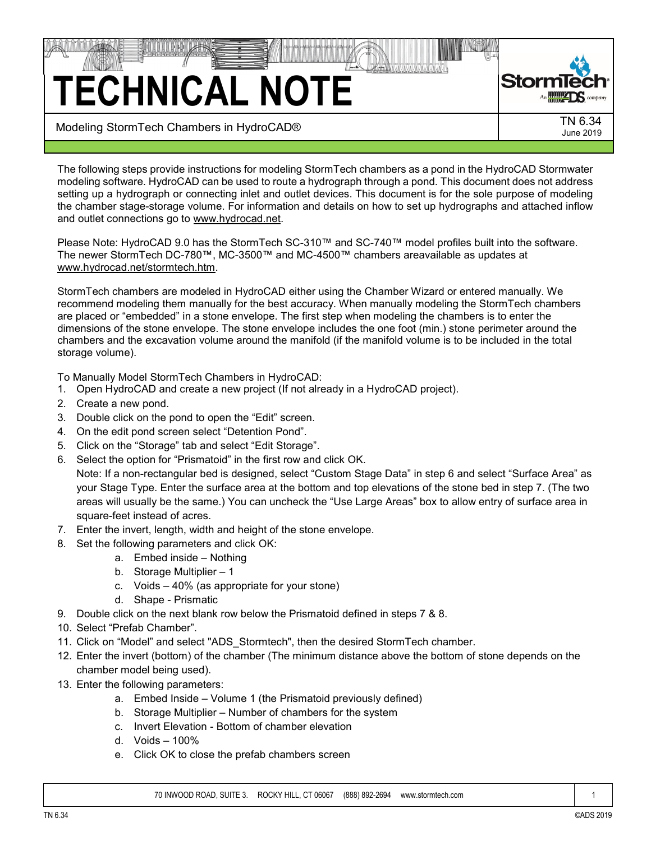## **TECHNICAL NOTE**



Modeling StormTech Chambers in HydroCAD®

The following steps provide instructions for modeling StormTech chambers as a pond in the HydroCAD Stormwater modeling software. HydroCAD can be used to route a hydrograph through a pond. This document does not address setting up a hydrograph or connecting inlet and outlet devices. This document is for the sole purpose of modeling the chamber stage-storage volume. For information and details on how to set up hydrographs and attached inflow and outlet connections go to www.hydrocad.net.

Please Note: HydroCAD 9.0 has the StormTech SC-310™ and SC-740™ model profiles built into the software. The newer StormTech DC-780™, MC-3500™ and MC-4500™ chambers areavailable as updates at www.hydrocad.net/stormtech.htm.

StormTech chambers are modeled in HydroCAD either using the Chamber Wizard or entered manually. We recommend modeling them manually for the best accuracy. When manually modeling the StormTech chambers are placed or "embedded" in a stone envelope. The first step when modeling the chambers is to enter the dimensions of the stone envelope. The stone envelope includes the one foot (min.) stone perimeter around the chambers and the excavation volume around the manifold (if the manifold volume is to be included in the total storage volume).

To Manually Model StormTech Chambers in HydroCAD:

- 1. Open HydroCAD and create a new project (If not already in a HydroCAD project).
- 2. Create a new pond.
- 3. Double click on the pond to open the "Edit" screen.
- 4. On the edit pond screen select "Detention Pond".
- 5. Click on the "Storage" tab and select "Edit Storage".
- 6. Select the option for "Prismatoid" in the first row and click OK.

Note: If a non-rectangular bed is designed, select "Custom Stage Data" in step 6 and select "Surface Area" as your Stage Type. Enter the surface area at the bottom and top elevations of the stone bed in step 7. (The two areas will usually be the same.) You can uncheck the "Use Large Areas" box to allow entry of surface area in square-feet instead of acres.

- 7. Enter the invert, length, width and height of the stone envelope.
- 8. Set the following parameters and click OK:
	- a. Embed inside Nothing
		- b. Storage Multiplier 1
		- c. Voids 40% (as appropriate for your stone)
	- d. Shape Prismatic
- 9. Double click on the next blank row below the Prismatoid defined in steps 7 & 8.
- 10. Select "Prefab Chamber".
- 11. Click on "Model" and select "ADS\_Stormtech", then the desired StormTech chamber.
- 12. Enter the invert (bottom) of the chamber (The minimum distance above the bottom of stone depends on the chamber model being used).
- 13. Enter the following parameters:
	- a. Embed Inside Volume 1 (the Prismatoid previously defined)
	- b. Storage Multiplier Number of chambers for the system
	- c. Invert Elevation Bottom of chamber elevation
	- d. Voids 100%
	- e. Click OK to close the prefab chambers screen